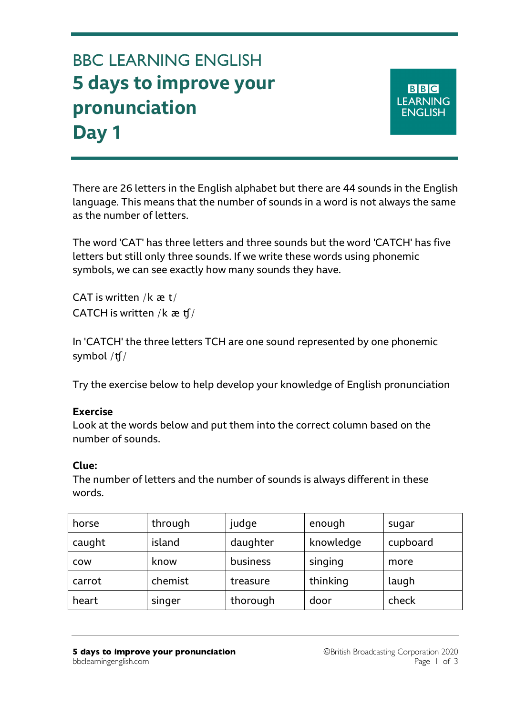## BBC LEARNING ENGLISH **5 days to improve your pronunciation Day 1**

**BBC LEARNING ENGLISH** 

There are 26 letters in the English alphabet but there are 44 sounds in the English language. This means that the number of sounds in a word is not always the same as the number of letters.

The word 'CAT' has three letters and three sounds but the word 'CATCH' has five letters but still only three sounds. If we write these words using phonemic symbols, we can see exactly how many sounds they have.

CAT is written / $k \neq t/$ CATCH is written /k æ ʧ/

In 'CATCH' the three letters TCH are one sound represented by one phonemic symbol /ʧ/

Try the exercise below to help develop your knowledge of English pronunciation

## **Exercise**

Look at the words below and put them into the correct column based on the number of sounds.

## **Clue:**

The number of letters and the number of sounds is always different in these words.

| horse      | through | judge    | enough    | sugar    |
|------------|---------|----------|-----------|----------|
| caught     | island  | daughter | knowledge | cupboard |
| <b>COW</b> | know    | business | singing   | more     |
| carrot     | chemist | treasure | thinking  | laugh    |
| heart      | singer  | thorough | door      | check    |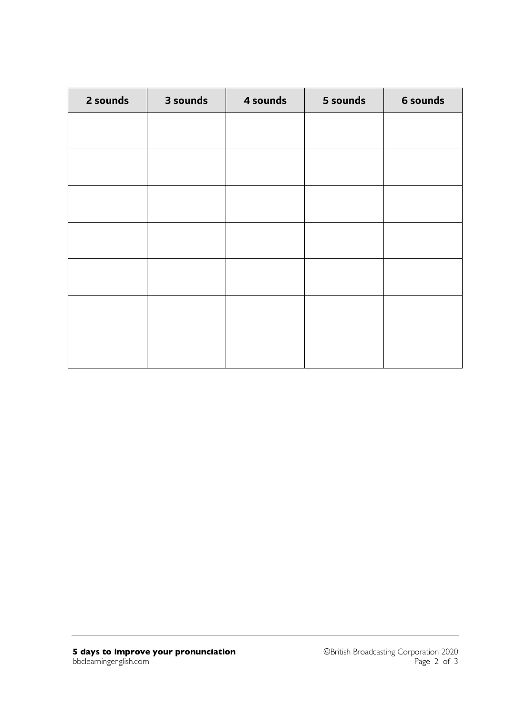| 2 sounds | 3 sounds | 4 sounds | 5 sounds | 6 sounds |
|----------|----------|----------|----------|----------|
|          |          |          |          |          |
|          |          |          |          |          |
|          |          |          |          |          |
|          |          |          |          |          |
|          |          |          |          |          |
|          |          |          |          |          |
|          |          |          |          |          |